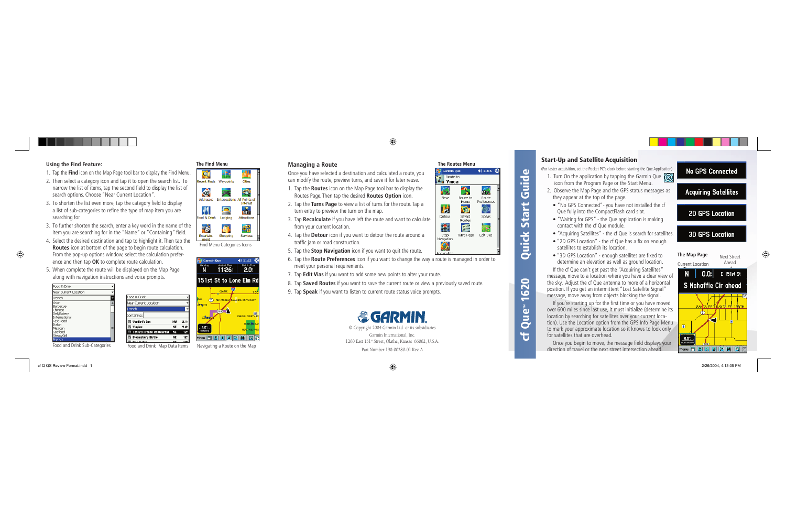© Copyright 2004 Garmin Ltd. or its subsidiaries Garmin International, Inc. 1200 East 151st Street, Olathe, Kansas 66062, U.S.A.

Part Number 190-00280-01 Rev. A

## **Managing a Route**

Once you have selected a destination and calculated a route, you can modify the route, preview turns, and save it for later reuse.

- 1. Tap the **Routes** icon on the Map Page tool bar to display the Routes Page. Then tap the desired **Routes Option** icon.
- 2. Tap the **Turns Page** to view a list of turns for the route. Tap a turn entry to preview the turn on the map.
- 3. Tap **Recalculate** if you have left the route and want to calculate from your current location.
- 4. Tap the **Detour** icon if you want to detour the route around a traffic jam or road construction.
- 5. Tap the **Stop Navigation** icon if you want to quit the route.
- 6. Tap the **Route Preferences** icon if you want to change the way a route is managed in order to meet your personal requirements.
- 1. Turn On the application by tapping the Garmin Que  $\circ$ icon from the Program Page or the Start Menu.
- 2. Observe the Map Page and the GPS status messages as they appear at the top of the page.
- "No GPS Connected"- you have not installed the cf Que fully into the CompactFlash card slot.
- "Waiting for GPS" the Que application is making contact with the cf Que module.
- 
- "Acquiring Satellites" the cf Que is search for satellites. • "2D GPS Location" - the cf Que has a fix on enough satellites to establish its location.
- "3D GPS Location" enough satellites are fixed to determine an elevation as well as ground location.
- If the cf Que can't get past the "Acquiring Satellites" message, move to a location where you have a clear view of the sky. Adjust the cf Que antenna to more of a horizontal
- If you're starting up for the first time or you have moved over 600 miles since last use, it must initialize (determine its tion). Use the Location option from the GPS Info Page Menu to mark your approximate location so it knows to look only
- Once you begin to move, the message field displays your

## **No GPS Connected**

# **Acquiring Satellites**

# **2D GPS Location**

# **3D GPS Location**

- 7. Tap **Edit Vias** if you want to add some new points to alter your route.
- 8. Tap **Saved Routes** if you want to save the current route or view a previously saved route.
- 9. Tap **Speak** if you want to listen to current route status voice prompts.



**The Routes Menu**

Route to

Home

**Vo** 

Saved

Routes 医

Turns Page

 $4611:16$   $62$ 

**PD** 

Route

Preferences

╰

Speak

Edit Vias

 $\mathscr{G}$ s (Garmin Oue

**cf Que ™**

**Route to** 

620

 $\mathbb{F}_{q}$  Ymca

New

琳

Detour

13

Stop

Navigation

 $\bigcirc$ Recalculat

> location by searching for satellites over your current locafor satellites that are overhead.

**1620 Quick Start Guide**

Quick

5

tart

 $\omega$ 

Guid

## **Start-Up and Satellite Acquisition**

(For faster acquisition, set the Pocket PC's clock before starting the Que Application)

position. If you get an intermittent "Lost Satellite Signal" message, move away from objects blocking the signal.

direction of travel or the next street intersection ahead.





#### Using the Find Feature: The Find Menu

- 1. Tap the **Find** icon on the Map Page tool bar to display the Find Menu.
- 2. Then select a category icon and tap it to open the search list. To narrow the list of items, tap the second field to display the list of search options. Choose "Near Current Location".
- 3. To shorten the list even more, tap the category field to display a list of sub-categories to refine the type of map item you are searching for.
- 3. To further shorten the search, enter a key word in the name of the item you are searching for in the "Name" or "Containing" field.
- 4. Select the desired destination and tap to highlight it. Then tap the **Routes** icon at bottom of the page to begin route calculation. From the pop-up options window, select the calculation prefer ence and then tap **OK** to complete route calculation.

Food & Drink

French

Containing:

**SI Yiovias** 

**Will Verdict's Ton** 

81 Bloomsbury Bistro

Near Current Location

5. When complete the route will be displayed on the Map Page along with navigation instructions and voice prompts.



Food and Drink Sub-Categories Food and Drink Map Data Items Navigating a Route on the Map

Find Menu Categories Icons

**Arrival Time** 

Shopping

A

 $\mathcal{P}$ 

KO

Addresses

76

Entertain-

ment

**A7** Garmin Oue

**Recent Finds** Waynoints

Food & Drink Lodging

Cities

Interest

 $\frac{1}{100}$ 

Attractions

嚅

Services

 $4611:22$ 

Dist to Turn

Intersections All Points of